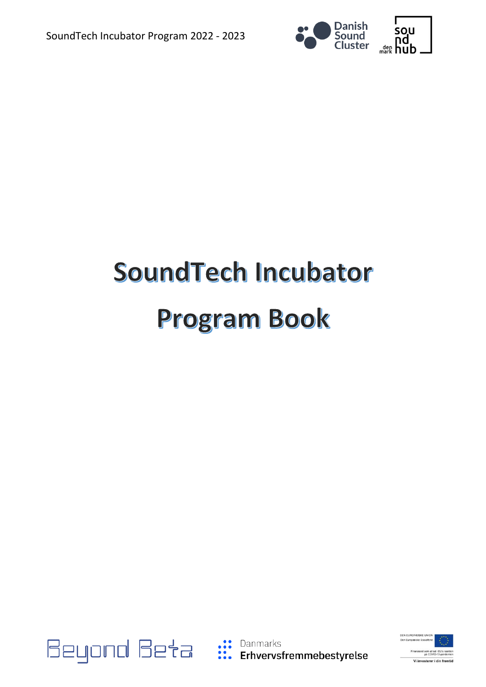

# **SoundTech Incubator Program Book**





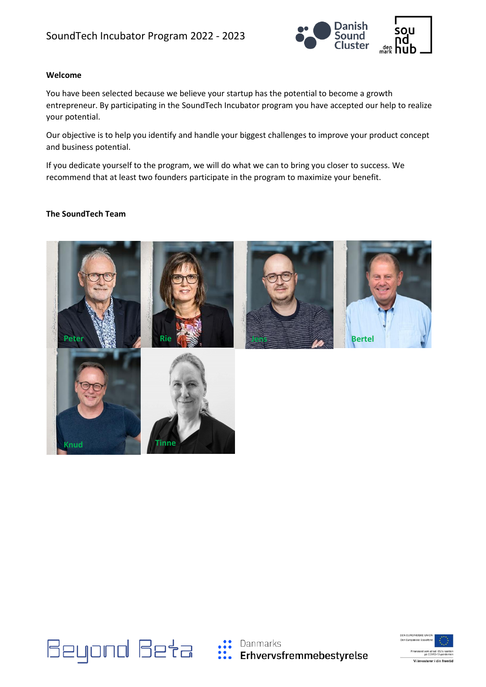

#### **Welcome**

You have been selected because we believe your startup has the potential to become a growth entrepreneur. By participating in the SoundTech Incubator program you have accepted our help to realize your potential.

Our objective is to help you identify and handle your biggest challenges to improve your product concept and business potential.

If you dedicate yourself to the program, we will do what we can to bring you closer to success. We recommend that at least two founders participate in the program to maximize your benefit.

#### **The SoundTech Team**





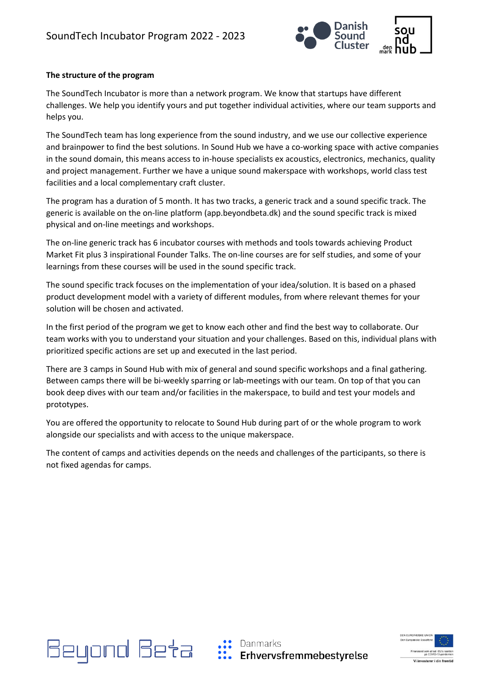Beuond Beta



#### **The structure of the program**

The SoundTech Incubator is more than a network program. We know that startups have different challenges. We help you identify yours and put together individual activities, where our team supports and helps you.

The SoundTech team has long experience from the sound industry, and we use our collective experience and brainpower to find the best solutions. In Sound Hub we have a co-working space with active companies in the sound domain, this means access to in-house specialists ex acoustics, electronics, mechanics, quality and project management. Further we have a unique sound makerspace with workshops, world class test facilities and a local complementary craft cluster.

The program has a duration of 5 month. It has two tracks, a generic track and a sound specific track. The generic is available on the on-line platform (app.beyondbeta.dk) and the sound specific track is mixed physical and on-line meetings and workshops.

The on-line generic track has 6 incubator courses with methods and tools towards achieving Product Market Fit plus 3 inspirational Founder Talks. The on-line courses are for self studies, and some of your learnings from these courses will be used in the sound specific track.

The sound specific track focuses on the implementation of your idea/solution. It is based on a phased product development model with a variety of different modules, from where relevant themes for your solution will be chosen and activated.

In the first period of the program we get to know each other and find the best way to collaborate. Our team works with you to understand your situation and your challenges. Based on this, individual plans with prioritized specific actions are set up and executed in the last period.

There are 3 camps in Sound Hub with mix of general and sound specific workshops and a final gathering. Between camps there will be bi-weekly sparring or lab-meetings with our team. On top of that you can book deep dives with our team and/or facilities in the makerspace, to build and test your models and prototypes.

You are offered the opportunity to relocate to Sound Hub during part of or the whole program to work alongside our specialists and with access to the unique makerspace.

The content of camps and activities depends on the needs and challenges of the participants, so there is not fixed agendas for camps.

.:: Danmarks<br>::. Erhvervsfremmebestyrelse

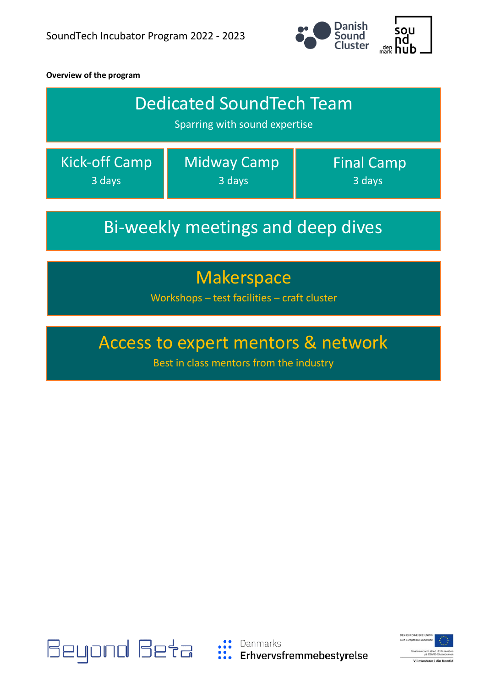

**Overview of the program**

'

# Dedicated SoundTech Team

Sparring with sound expertise

Kick-off Camp 3 days

Midway Camp 3 days

Final Camp 3 days

# Bi-weekly meetings and deep dives

# **Makerspace**

Workshops – test facilities – craft cluster

# Access to expert mentors & network

Best in class mentors from the industry





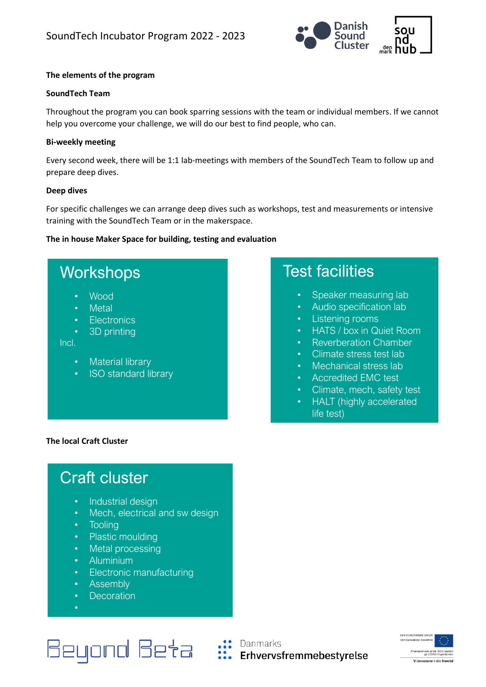

#### **The elements of the program**

#### **SoundTech Team**

Throughout the program you can book sparring sessions with the team or individual members. If we cannot help you overcome your challenge, we will do our best to find people, who can.

#### **Bi-weekly meeting**

Every second week, there will be 1:1 lab-meetings with members of the SoundTech Team to follow up and prepare deep dives.

#### **Deep dives**

For specific challenges we can arrange deep dives such as workshops, test and measurements or intensive training with the SoundTech Team or in the makerspace.

#### **The in house Maker Space for building, testing and evaluation**

### **Workshops**

- **Wood**
- Metal
- Electronics
- 3D printing

Incl.

- Material library
- ISO standard library

## Test facilities

- Speaker measuring lab
- Audio specification lab
- **Listening rooms**
- HATS / box in Quiet Room
- Reverberation Chamber
- Climate stress test lab
- Mechanical stress lab
- Accredited EMC test
- Climate, mech, safety test
- HALT (highly accelerated life test)

#### **The local Craft Cluster**

### Craft cluster

- Industrial design
- Mech, electrical and sw design
- Tooling
- Plastic moulding
- Metal processing
- Aluminium
- Electronic manufacturing
- **Assembly**
- Decoration
- •

**BEUDIN BETE** ::: Danmarks

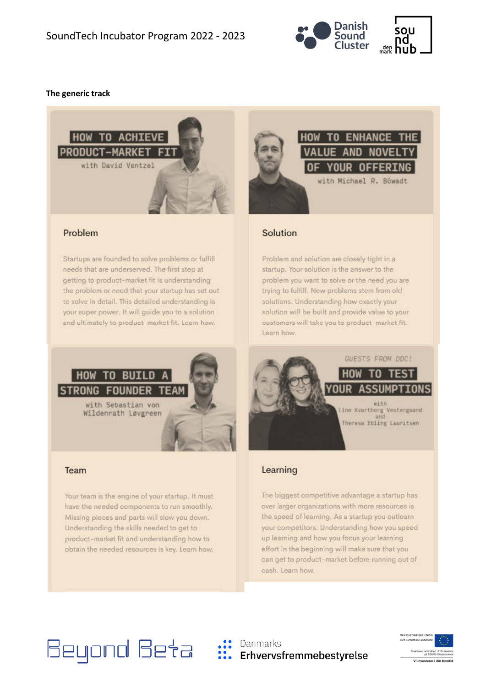

#### **The generic track**



#### Problem

Startups are founded to solve problems or fulfill needs that are underserved. The first step at getting to product-market fit is understanding the problem or need that your startup has set out to solve in detail. This detailed understanding is your super power. It will guide you to a solution and ultimately to product-market fit. Learn how.



#### Team

Your team is the engine of your startup. It must have the needed components to run smoothly. Missing pieces and parts will slow you down. Understanding the skills needed to get to product-market fit and understanding how to obtain the needed resources is key. Learn how.



#### Solution

Problem and solution are closely tight in a startup. Your solution is the answer to the problem you want to solve or the need you are trying to fulfill. New problems stem from old solutions. Understanding how exactly your solution will be built and provide value to your customers will take you to product-market fit. Learn how.



#### Learning

The biggest competitive advantage a startup has over larger organizations with more resources is the speed of learning. As a startup you outlearn your competitors. Understanding how you speed up learning and how you focus your learning effort in the beginning will make sure that you can get to product-market before running out of cash. Learn how.



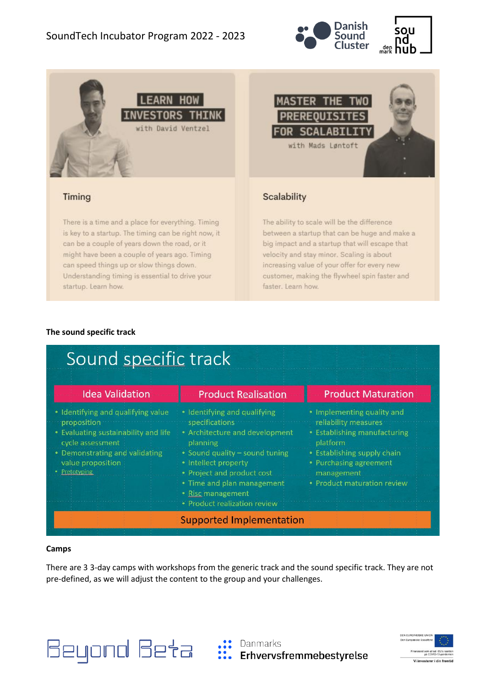





#### Timing

There is a time and a place for everything. Timing is key to a startup. The timing can be right now, it can be a couple of years down the road, or it might have been a couple of years ago. Timing can speed things up or slow things down. Understanding timing is essential to drive your startup. Learn how.

#### **Scalability**

The ability to scale will be the difference between a startup that can be huge and make a big impact and a startup that will escape that velocity and stay minor. Scaling is about increasing value of your offer for every new customer, making the flywheel spin faster and faster. Learn how.

#### **The sound specific track**

#### Sound specific track **Idea Validation Product Maturation Product Realisation** · Identifying and qualifying value · Identifying and qualifying • Implementing quality and proposition specifications reliability measures • Evaluating sustainability and life • Architecture and development • Establishing manufacturing cycle assessment planning platform • Demonstrating and validating • Sound quality - sound tuning • Establishing supply chain value proposition · Intellect property • Purchasing agreement • Pretotyping • Project and product cost management • Time and plan management • Product maturation review · Risc management · Product realization review **Supported Implementation**

#### **Camps**

There are 3 3-day camps with workshops from the generic track and the sound specific track. They are not pre-defined, as we will adjust the content to the group and your challenges.

**BEUDNO BETE** ::: Danmarks